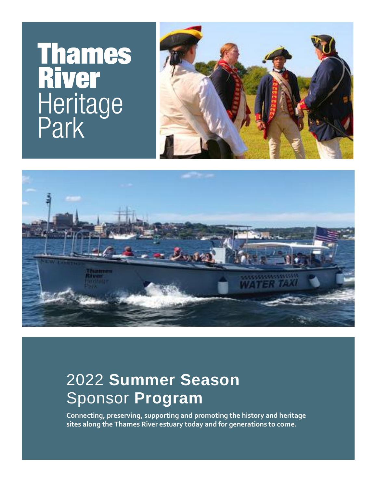# **Thames<br>River** Heritage<br>Park





## 2022 **Summer Season** Sponsor **Program**

**Connecting, preserving, supporting and promoting the history and heritage sites along the Thames River estuary today and for generations to come.**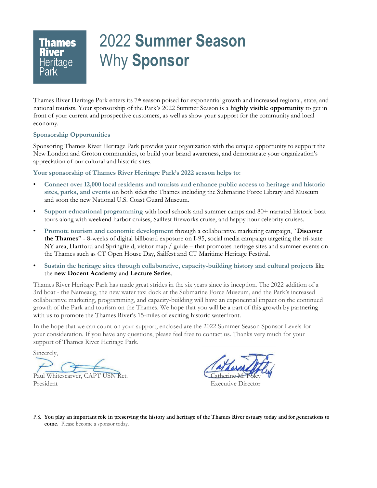# 2022 **Summer Season** Why **Sponsor**

Thames River Heritage Park enters its 7<sup>th</sup> season poised for exponential growth and increased regional, state, and national tourists. Your sponsorship of the Park's 2022 Summer Season is a **highly visible opportunity** to get in front of your current and prospective customers, as well as show your support for the community and local economy.

#### **Sponsorship Opportunities**

**Thames** 

Sponsoring Thames River Heritage Park provides your organization with the unique opportunity to support the New London and Groton communities, to build your brand awareness, and demonstrate your organization's appreciation of our cultural and historic sites.

**Your sponsorship of Thames River Heritage Park's 2022 season helps to:**

- **Connect over 12,000 local residents and tourists and enhance public access to heritage and historic sites, parks, and events** on both sides the Thames including the Submarine Force Library and Museum and soon the new National U.S. Coast Guard Museum.
- **Support educational programming** with local schools and summer camps and 80+ narrated historic boat tours along with weekend harbor cruises, Sailfest fireworks cruise, and happy hour celebrity cruises.
- **Promote tourism and economic development** through a collaborative marketing campaign, "**Discover the Thames**" - 8-weeks of digital billboard exposure on I-95, social media campaign targeting the tri-state NY area, Hartford and Springfield, visitor map / guide – that promotes heritage sites and summer events on the Thames such as CT Open House Day, Sailfest and CT Maritime Heritage Festival.
- **Sustain the heritage sites through collaborative, capacity-building history and cultural projects** like the **new Docent Academy** and **Lecture Series**.

Thames River Heritage Park has made great strides in the six years since its inception. The 2022 addition of a 3rd boat - the Nameaug, the new water taxi dock at the Submarine Force Museum, and the Park's increased collaborative marketing, programming, and capacity-building will have an exponential impact on the continued growth of the Park and tourism on the Thames. We hope that you will be a part of this growth by partnering with us to promote the Thames River's 15-miles of exciting historic waterfront.

In the hope that we can count on your support, enclosed are the 2022 Summer Season Sponsor Levels for your consideration. If you have any questions, please feel free to contact us. Thanks very much for your support of Thames River Heritage Park.

Sincerely,

Paul Whitescarver, CAPT USN Ret.

President Executive Director

P.S. **You play an important role in preserving the history and heritage of the Thames River estuary today and for generations to come.** Please become a sponsor today.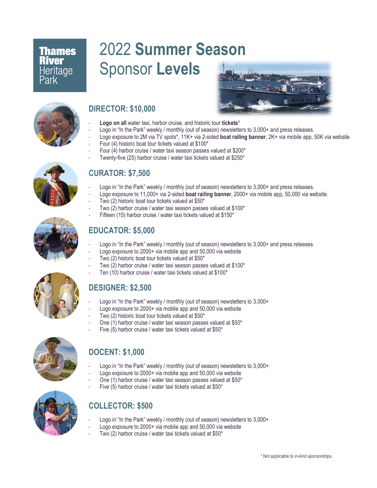## **Thames River** Heritage Park

# 2022 **Summer Season** Sponsor **Levels**





### **DIRECTOR: \$10,000**

- **Logo on all** water taxi, harbor cruise, and historic tour **tickets**\*
- Logo in "In the Park" weekly / monthly (out of season) newsletters to 3,000+ and press releases.
- Logo exposure to 2M via TV spots\*, 11K+ via 2-sided **boat railing banner**, 2K+ via mobile app, 50K via website
	- Four (4) historic boat tour tickets valued at \$100\*
	- Four (4) harbor cruise / water taxi season passes valued at \$200\*
	- Twenty-five (25) harbor cruise / water taxi tickets valued at \$250\*



#### **CURATOR: \$7,500**

- Logo in "In the Park" weekly / monthly (out of season) newsletters to 3,000+ and press releases.
- Logo exposure to 11,000+ via 2-sided **boat railing banner**, 2000+ via mobile app, 50,000 via website.
- Two (2) historic boat tour tickets valued at \$50\*
- Two (2) harbor cruise / water taxi season passes valued at \$100\*
- Fifteen (15) harbor cruise / water taxi tickets valued at \$150\*

#### **EDUCATOR: \$5,000**

- Logo in "In the Park" weekly / monthly (out of season) newsletters to 3,000+ and press releases.
- Logo exposure to 2000+ via mobile app and 50,000 via website
- Two (2) historic boat tour tickets valued at \$50\*
- Two (2) harbor cruise / water taxi season passes valued at \$100\*
- Ten (10) harbor cruise / water taxi tickets valued at \$100\*

## **DESIGNER: \$2,500**

- Logo in "In the Park" weekly / monthly (out of season) newsletters to 3,000+
- Logo exposure to 2000+ via mobile app and 50,000 via website
- Two (2) historic boat tour tickets valued at \$50\*
- One (1) harbor cruise / water taxi season passes valued at \$50\*
- Five (5) harbor cruise / water taxi tickets valued at \$50\*



#### **DOCENT: \$1,000**

- Logo in "In the Park" weekly / monthly (out of season) newsletters to 3,000+
- Logo exposure to 2000+ via mobile app and 50,000 via website
- One (1) harbor cruise / water taxi season passes valued at \$50\*
- Five (5) harbor cruise / water taxi tickets valued at  $$50^*$



#### **COLLECTOR: \$500**

- Logo in "In the Park" weekly / monthly (out of season) newsletters to 3,000+
- Logo exposure to 2000+ via mobile app and 50,000 via website
- Two (2) harbor cruise / water taxi tickets valued at \$50\*



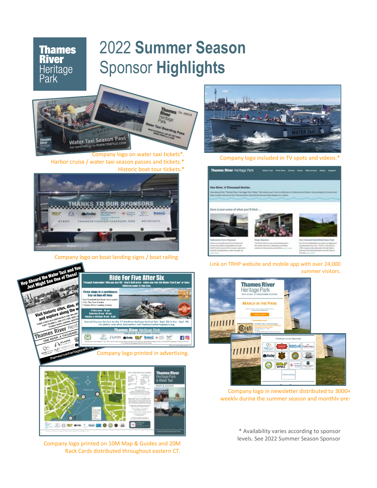## 2022 **Summer Season** Sponsor **Highlights**



**Thames**<br>River

Heritage<br>Park

Company logo on water taxi tickets<sup>\*</sup> Harbor cruise / water taxi season passes and tickets.\* Historic boat tour tickets.\*



Company logo on boat landing signs / boat railing



Company logo printed on 10M Map & Guides and 20M Rack Cards distributed throughout eastern CT.



Company logo included in TV spots and videos.\*



Link on TRHP website and mobile app with over 24,000 summer visitors.



Company logo in newsletter distributed to 3000+ weekly during the summer season and monthly pre-

\* Availability varies according to sponsor levels. See 2022 Summer Season Sponsor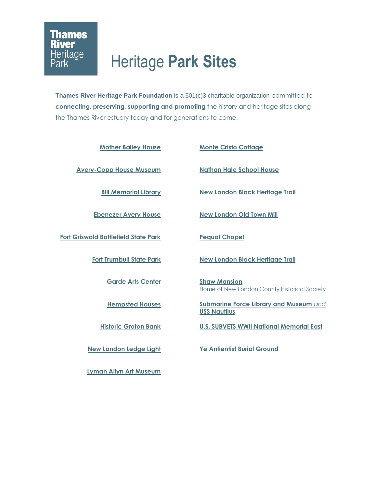## Heritage **Park Sites**

**Thames River Heritage Park Foundation** is a 501(c)3 charitable organization committed to **connecting, preserving, supporting and promoting** the history and heritage sites along the Thames River estuary today and for generations to come.

| <b>Mother Bailey House</b>                  | <b>Monte Cristo Cottage</b>                                          |
|---------------------------------------------|----------------------------------------------------------------------|
| <b>Avery-Copp House Museum</b>              | <b>Nathan Hale School House</b>                                      |
| <b>Bill Memorial Library</b>                | <b>New London Black Heritage Trail</b>                               |
| <b>Ebenezer Avery House</b>                 | <b>New London Old Town Mill</b>                                      |
| <b>Fort Griswold Battlefield State Park</b> | <b>Pequot Chapel</b>                                                 |
| <b>Fort Trumbull State Park</b>             | <b>New London Black Heritage Trail</b>                               |
| <b>Garde Arts Center</b>                    | <b>Shaw Mansion</b><br>Home of New London County Historical Society  |
| <b>Hempsted Houses</b>                      | <b>Submarine Force Library and Museum and</b><br><b>USS Nautilus</b> |
| <b>Historic Groton Bank</b>                 | <b>U.S. SUBVETS WWII National Memorial East</b>                      |
| <b>New London Ledge Light</b>               | Ye Antientist Burial Ground                                          |
|                                             |                                                                      |

**[Lyman Allyn Art Museum](https://www.thamesriverheritagepark.org/lyman-allyn-art-museum/)**